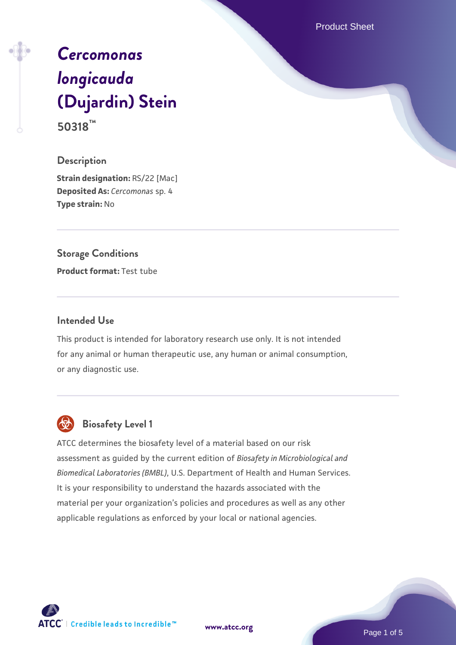Product Sheet

# *[Cercomonas](https://www.atcc.org/products/50318) [longicauda](https://www.atcc.org/products/50318)* **[\(Dujardin\) Stein](https://www.atcc.org/products/50318) 50318™**

# **Description**

**Strain designation:** RS/22 [Mac] **Deposited As:** *Cercomonas* sp. 4 **Type strain:** No

# **Storage Conditions**

**Product format:** Test tube

# **Intended Use**

This product is intended for laboratory research use only. It is not intended for any animal or human therapeutic use, any human or animal consumption, or any diagnostic use.



# **Biosafety Level 1**

ATCC determines the biosafety level of a material based on our risk assessment as guided by the current edition of *Biosafety in Microbiological and Biomedical Laboratories (BMBL)*, U.S. Department of Health and Human Services. It is your responsibility to understand the hazards associated with the material per your organization's policies and procedures as well as any other applicable regulations as enforced by your local or national agencies.

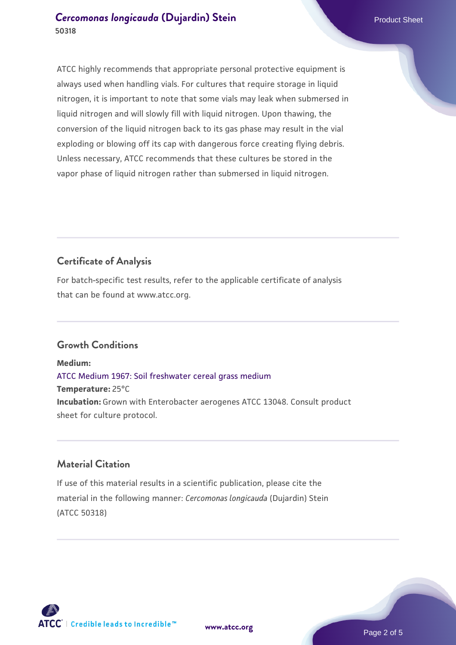# **[Cercomonas longicauda](https://www.atcc.org/products/50318) [\(Dujardin\) Stein](https://www.atcc.org/products/50318)** Product Sheet **50318**

ATCC highly recommends that appropriate personal protective equipment is always used when handling vials. For cultures that require storage in liquid nitrogen, it is important to note that some vials may leak when submersed in liquid nitrogen and will slowly fill with liquid nitrogen. Upon thawing, the conversion of the liquid nitrogen back to its gas phase may result in the vial exploding or blowing off its cap with dangerous force creating flying debris. Unless necessary, ATCC recommends that these cultures be stored in the vapor phase of liquid nitrogen rather than submersed in liquid nitrogen.

# **Certificate of Analysis**

For batch-specific test results, refer to the applicable certificate of analysis that can be found at www.atcc.org.

# **Growth Conditions**

**Medium:**  [ATCC Medium 1967: Soil freshwater cereal grass medium](https://www.atcc.org/-/media/product-assets/documents/microbial-media-formulations/1/9/6/7/atcc-medium-1967.pdf?rev=6d6a0ece598c4c7faf735def3ce81152) **Temperature:** 25°C **Incubation:** Grown with Enterobacter aerogenes ATCC 13048. Consult product sheet for culture protocol.

# **Material Citation**

If use of this material results in a scientific publication, please cite the material in the following manner: *Cercomonas longicauda* (Dujardin) Stein (ATCC 50318)



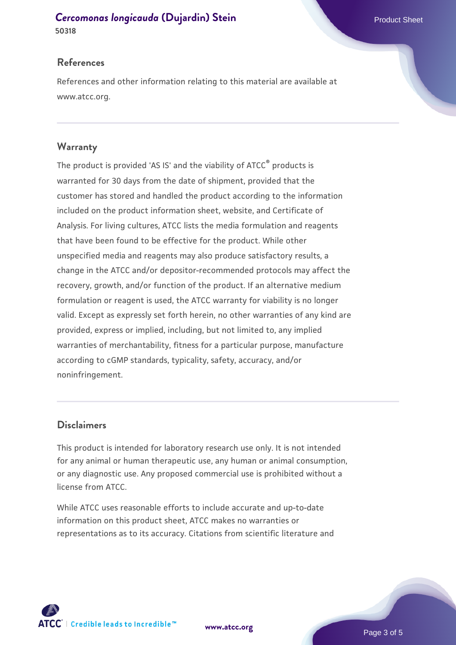# **[Cercomonas longicauda](https://www.atcc.org/products/50318) [\(Dujardin\) Stein](https://www.atcc.org/products/50318)** Product Sheet

**50318**

# **References**

References and other information relating to this material are available at www.atcc.org.

# **Warranty**

The product is provided 'AS IS' and the viability of ATCC® products is warranted for 30 days from the date of shipment, provided that the customer has stored and handled the product according to the information included on the product information sheet, website, and Certificate of Analysis. For living cultures, ATCC lists the media formulation and reagents that have been found to be effective for the product. While other unspecified media and reagents may also produce satisfactory results, a change in the ATCC and/or depositor-recommended protocols may affect the recovery, growth, and/or function of the product. If an alternative medium formulation or reagent is used, the ATCC warranty for viability is no longer valid. Except as expressly set forth herein, no other warranties of any kind are provided, express or implied, including, but not limited to, any implied warranties of merchantability, fitness for a particular purpose, manufacture according to cGMP standards, typicality, safety, accuracy, and/or noninfringement.

# **Disclaimers**

This product is intended for laboratory research use only. It is not intended for any animal or human therapeutic use, any human or animal consumption, or any diagnostic use. Any proposed commercial use is prohibited without a license from ATCC.

While ATCC uses reasonable efforts to include accurate and up-to-date information on this product sheet, ATCC makes no warranties or representations as to its accuracy. Citations from scientific literature and



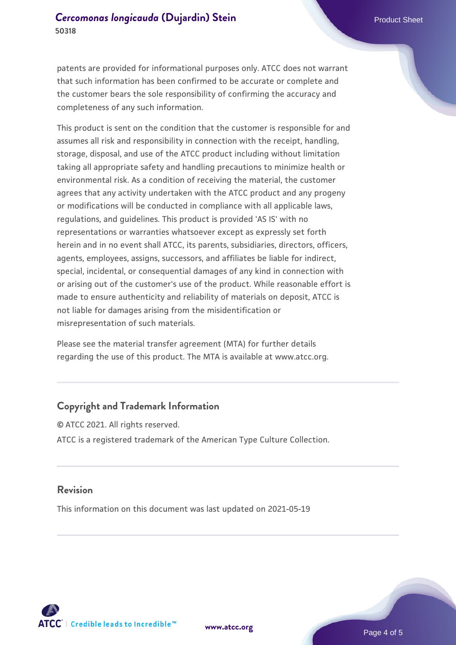patents are provided for informational purposes only. ATCC does not warrant that such information has been confirmed to be accurate or complete and the customer bears the sole responsibility of confirming the accuracy and completeness of any such information.

This product is sent on the condition that the customer is responsible for and assumes all risk and responsibility in connection with the receipt, handling, storage, disposal, and use of the ATCC product including without limitation taking all appropriate safety and handling precautions to minimize health or environmental risk. As a condition of receiving the material, the customer agrees that any activity undertaken with the ATCC product and any progeny or modifications will be conducted in compliance with all applicable laws, regulations, and guidelines. This product is provided 'AS IS' with no representations or warranties whatsoever except as expressly set forth herein and in no event shall ATCC, its parents, subsidiaries, directors, officers, agents, employees, assigns, successors, and affiliates be liable for indirect, special, incidental, or consequential damages of any kind in connection with or arising out of the customer's use of the product. While reasonable effort is made to ensure authenticity and reliability of materials on deposit, ATCC is not liable for damages arising from the misidentification or misrepresentation of such materials.

Please see the material transfer agreement (MTA) for further details regarding the use of this product. The MTA is available at www.atcc.org.

#### **Copyright and Trademark Information**

© ATCC 2021. All rights reserved. ATCC is a registered trademark of the American Type Culture Collection.

#### **Revision**

This information on this document was last updated on 2021-05-19